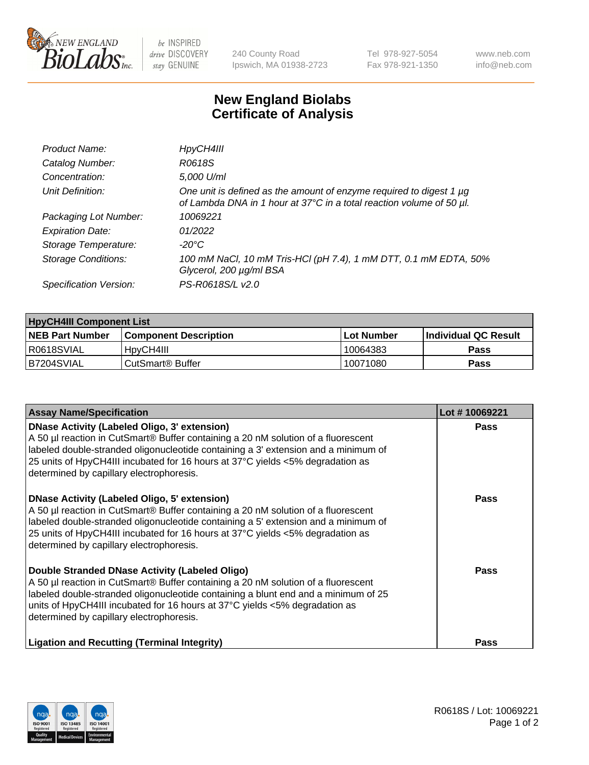

 $be$  INSPIRED drive DISCOVERY stay GENUINE

240 County Road Ipswich, MA 01938-2723 Tel 978-927-5054 Fax 978-921-1350 www.neb.com info@neb.com

## **New England Biolabs Certificate of Analysis**

| Product Name:              | HpyCH4III                                                                                                                                        |
|----------------------------|--------------------------------------------------------------------------------------------------------------------------------------------------|
| Catalog Number:            | R0618S                                                                                                                                           |
| Concentration:             | 5,000 U/ml                                                                                                                                       |
| Unit Definition:           | One unit is defined as the amount of enzyme required to digest 1 $\mu$ g<br>of Lambda DNA in 1 hour at 37°C in a total reaction volume of 50 µl. |
| Packaging Lot Number:      | 10069221                                                                                                                                         |
| <b>Expiration Date:</b>    | 01/2022                                                                                                                                          |
| Storage Temperature:       | -20°C                                                                                                                                            |
| <b>Storage Conditions:</b> | 100 mM NaCl, 10 mM Tris-HCl (pH 7.4), 1 mM DTT, 0.1 mM EDTA, 50%<br>Glycerol, 200 µg/ml BSA                                                      |
| Specification Version:     | PS-R0618S/L v2.0                                                                                                                                 |

| <b>HpyCH4III Component List</b> |                              |            |                             |  |  |
|---------------------------------|------------------------------|------------|-----------------------------|--|--|
| <b>NEB Part Number</b>          | <b>Component Description</b> | Lot Number | <b>Individual QC Result</b> |  |  |
| I R0618SVIAL                    | 'HovCH4III                   | 10064383   | Pass                        |  |  |
| B7204SVIAL                      | CutSmart <sup>®</sup> Buffer | 10071080   | Pass                        |  |  |

| <b>Assay Name/Specification</b>                                                                                                                                                                                                                                                                                                                                | Lot #10069221 |
|----------------------------------------------------------------------------------------------------------------------------------------------------------------------------------------------------------------------------------------------------------------------------------------------------------------------------------------------------------------|---------------|
| <b>DNase Activity (Labeled Oligo, 3' extension)</b><br>A 50 µl reaction in CutSmart® Buffer containing a 20 nM solution of a fluorescent<br>labeled double-stranded oligonucleotide containing a 3' extension and a minimum of<br>25 units of HpyCH4III incubated for 16 hours at 37°C yields <5% degradation as<br>determined by capillary electrophoresis.   | Pass          |
| <b>DNase Activity (Labeled Oligo, 5' extension)</b><br>A 50 µl reaction in CutSmart® Buffer containing a 20 nM solution of a fluorescent<br>labeled double-stranded oligonucleotide containing a 5' extension and a minimum of<br>25 units of HpyCH4III incubated for 16 hours at 37°C yields <5% degradation as<br>determined by capillary electrophoresis.   | Pass          |
| Double Stranded DNase Activity (Labeled Oligo)<br>A 50 µl reaction in CutSmart® Buffer containing a 20 nM solution of a fluorescent<br>labeled double-stranded oligonucleotide containing a blunt end and a minimum of 25<br>units of HpyCH4III incubated for 16 hours at $37^{\circ}$ C yields <5% degradation as<br>determined by capillary electrophoresis. | Pass          |
| <b>Ligation and Recutting (Terminal Integrity)</b>                                                                                                                                                                                                                                                                                                             | Pass          |